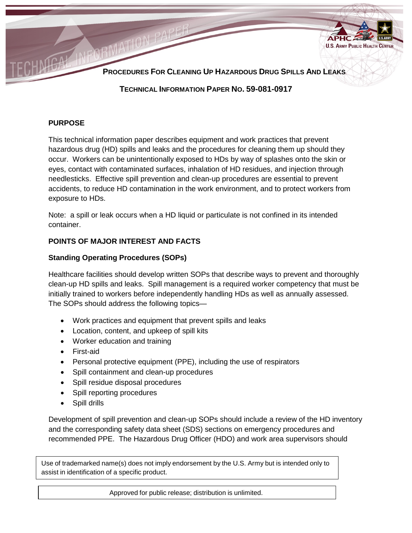

### **PURPOSE**

This technical information paper describes equipment and work practices that prevent hazardous drug (HD) spills and leaks and the procedures for cleaning them up should they occur. Workers can be unintentionally exposed to HDs by way of splashes onto the skin or eyes, contact with contaminated surfaces, inhalation of HD residues, and injection through needlesticks. Effective spill prevention and clean-up procedures are essential to prevent accidents, to reduce HD contamination in the work environment, and to protect workers from exposure to HDs.

Note: a spill or leak occurs when a HD liquid or particulate is not confined in its intended container.

## **POINTS OF MAJOR INTEREST AND FACTS**

# **Standing Operating Procedures (SOPs)**

Healthcare facilities should develop written SOPs that describe ways to prevent and thoroughly clean-up HD spills and leaks. Spill management is a required worker competency that must be initially trained to workers before independently handling HDs as well as annually assessed. The SOPs should address the following topics—

- Work practices and equipment that prevent spills and leaks
- Location, content, and upkeep of spill kits
- Worker education and training
- First-aid
- Personal protective equipment (PPE), including the use of respirators
- Spill containment and clean-up procedures
- Spill residue disposal procedures
- Spill reporting procedures
- Spill drills

Development of spill prevention and clean-up SOPs should include a review of the HD inventory and the corresponding safety data sheet (SDS) sections on emergency procedures and recommended PPE. The Hazardous Drug Officer (HDO) and work area supervisors should

Use of trademarked name(s) does not imply endorsement by the U.S. Army but is intended only to assist in identification of a specific product.

Approved for public release; distribution is unlimited.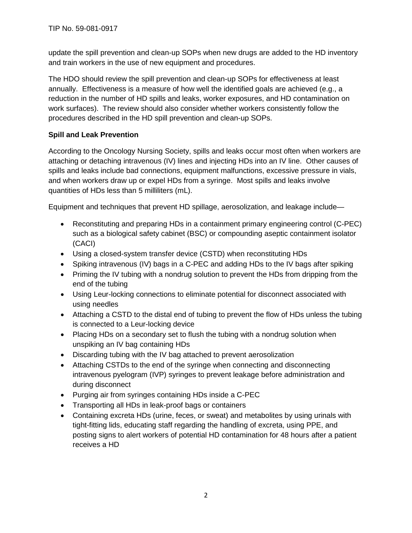update the spill prevention and clean-up SOPs when new drugs are added to the HD inventory and train workers in the use of new equipment and procedures.

The HDO should review the spill prevention and clean-up SOPs for effectiveness at least annually. Effectiveness is a measure of how well the identified goals are achieved (e.g., a reduction in the number of HD spills and leaks, worker exposures, and HD contamination on work surfaces). The review should also consider whether workers consistently follow the procedures described in the HD spill prevention and clean-up SOPs.

# **Spill and Leak Prevention**

According to the Oncology Nursing Society, spills and leaks occur most often when workers are attaching or detaching intravenous (IV) lines and injecting HDs into an IV line. Other causes of spills and leaks include bad connections, equipment malfunctions, excessive pressure in vials, and when workers draw up or expel HDs from a syringe. Most spills and leaks involve quantities of HDs less than 5 milliliters (mL).

Equipment and techniques that prevent HD spillage, aerosolization, and leakage include—

- Reconstituting and preparing HDs in a containment primary engineering control (C-PEC) such as a biological safety cabinet (BSC) or compounding aseptic containment isolator (CACI)
- Using a closed-system transfer device (CSTD) when reconstituting HDs
- Spiking intravenous (IV) bags in a C-PEC and adding HDs to the IV bags after spiking
- Priming the IV tubing with a nondrug solution to prevent the HDs from dripping from the end of the tubing
- Using Leur-locking connections to eliminate potential for disconnect associated with using needles
- Attaching a CSTD to the distal end of tubing to prevent the flow of HDs unless the tubing is connected to a Leur-locking device
- Placing HDs on a secondary set to flush the tubing with a nondrug solution when unspiking an IV bag containing HDs
- Discarding tubing with the IV bag attached to prevent aerosolization
- Attaching CSTDs to the end of the syringe when connecting and disconnecting intravenous pyelogram (IVP) syringes to prevent leakage before administration and during disconnect
- Purging air from syringes containing HDs inside a C-PEC
- Transporting all HDs in leak-proof bags or containers
- Containing excreta HDs (urine, feces, or sweat) and metabolites by using urinals with tight-fitting lids, educating staff regarding the handling of excreta, using PPE, and posting signs to alert workers of potential HD contamination for 48 hours after a patient receives a HD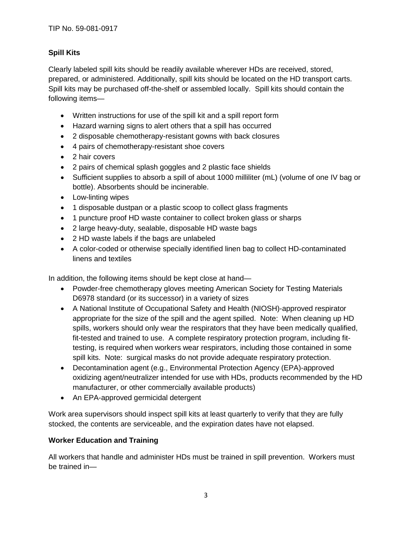# **Spill Kits**

Clearly labeled spill kits should be readily available wherever HDs are received, stored, prepared, or administered. Additionally, spill kits should be located on the HD transport carts. Spill kits may be purchased off-the-shelf or assembled locally. Spill kits should contain the following items—

- Written instructions for use of the spill kit and a spill report form
- Hazard warning signs to alert others that a spill has occurred
- 2 disposable chemotherapy-resistant gowns with back closures
- 4 pairs of chemotherapy-resistant shoe covers
- 2 hair covers
- 2 pairs of chemical splash goggles and 2 plastic face shields
- Sufficient supplies to absorb a spill of about 1000 milliliter (mL) (volume of one IV bag or bottle). Absorbents should be incinerable.
- Low-linting wipes
- 1 disposable dustpan or a plastic scoop to collect glass fragments
- 1 puncture proof HD waste container to collect broken glass or sharps
- 2 large heavy-duty, sealable, disposable HD waste bags
- 2 HD waste labels if the bags are unlabeled
- A color-coded or otherwise specially identified linen bag to collect HD-contaminated linens and textiles

In addition, the following items should be kept close at hand—

- Powder-free chemotherapy gloves meeting American Society for Testing Materials D6978 standard (or its successor) in a variety of sizes
- A National Institute of Occupational Safety and Health (NIOSH)-approved respirator appropriate for the size of the spill and the agent spilled. Note: When cleaning up HD spills, workers should only wear the respirators that they have been medically qualified, fit-tested and trained to use. A complete respiratory protection program, including fittesting, is required when workers wear respirators, including those contained in some spill kits. Note: surgical masks do not provide adequate respiratory protection.
- Decontamination agent (e.g., Environmental Protection Agency (EPA)-approved oxidizing agent/neutralizer intended for use with HDs, products recommended by the HD manufacturer, or other commercially available products)
- An EPA-approved germicidal detergent

Work area supervisors should inspect spill kits at least quarterly to verify that they are fully stocked, the contents are serviceable, and the expiration dates have not elapsed.

## **Worker Education and Training**

All workers that handle and administer HDs must be trained in spill prevention. Workers must be trained in—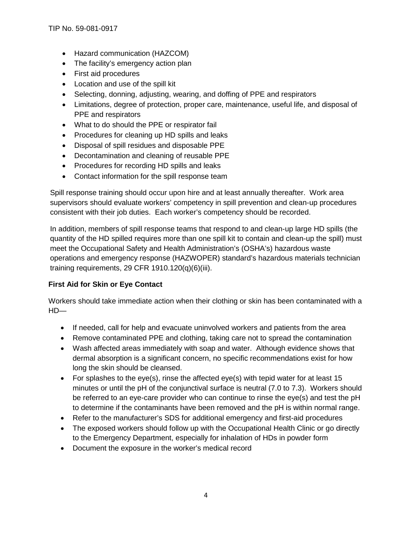- Hazard communication (HAZCOM)
- The facility's emergency action plan
- First aid procedures
- Location and use of the spill kit
- Selecting, donning, adjusting, wearing, and doffing of PPE and respirators
- Limitations, degree of protection, proper care, maintenance, useful life, and disposal of PPE and respirators
- What to do should the PPE or respirator fail
- Procedures for cleaning up HD spills and leaks
- Disposal of spill residues and disposable PPE
- Decontamination and cleaning of reusable PPE
- Procedures for recording HD spills and leaks
- Contact information for the spill response team

Spill response training should occur upon hire and at least annually thereafter. Work area supervisors should evaluate workers' competency in spill prevention and clean-up procedures consistent with their job duties. Each worker's competency should be recorded.

In addition, members of spill response teams that respond to and clean-up large HD spills (the quantity of the HD spilled requires more than one spill kit to contain and clean-up the spill) must meet the Occupational Safety and Health Administration's (OSHA's) hazardous waste operations and emergency response (HAZWOPER) standard's hazardous materials technician training requirements, 29 CFR 1910.120(q)(6)(iii).

## **First Aid for Skin or Eye Contact**

Workers should take immediate action when their clothing or skin has been contaminated with a  $HD$ —

- If needed, call for help and evacuate uninvolved workers and patients from the area
- Remove contaminated PPE and clothing, taking care not to spread the contamination
- Wash affected areas immediately with soap and water. Although evidence shows that dermal absorption is a significant concern, no specific recommendations exist for how long the skin should be cleansed.
- For splashes to the eye(s), rinse the affected eye(s) with tepid water for at least 15 minutes or until the pH of the conjunctival surface is neutral (7.0 to 7.3). Workers should be referred to an eye-care provider who can continue to rinse the eye(s) and test the pH to determine if the contaminants have been removed and the pH is within normal range.
- Refer to the manufacturer's SDS for additional emergency and first-aid procedures
- The exposed workers should follow up with the Occupational Health Clinic or go directly to the Emergency Department, especially for inhalation of HDs in powder form
- Document the exposure in the worker's medical record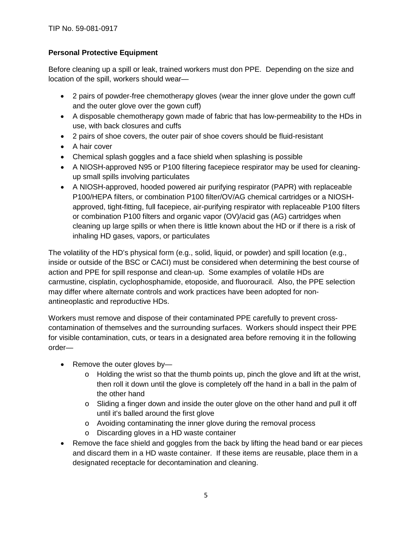## **Personal Protective Equipment**

Before cleaning up a spill or leak, trained workers must don PPE. Depending on the size and location of the spill, workers should wear—

- 2 pairs of powder-free chemotherapy gloves (wear the inner glove under the gown cuff and the outer glove over the gown cuff)
- A disposable chemotherapy gown made of fabric that has low-permeability to the HDs in use, with back closures and cuffs
- 2 pairs of shoe covers, the outer pair of shoe covers should be fluid-resistant
- A hair cover
- Chemical splash goggles and a face shield when splashing is possible
- A NIOSH-approved N95 or P100 filtering facepiece respirator may be used for cleaningup small spills involving particulates
- A NIOSH-approved, hooded powered air purifying respirator (PAPR) with replaceable P100/HEPA filters, or combination P100 filter/OV/AG chemical cartridges or a NIOSHapproved, tight-fitting, full facepiece, air-purifying respirator with replaceable P100 filters or combination P100 filters and organic vapor (OV)/acid gas (AG) cartridges when cleaning up large spills or when there is little known about the HD or if there is a risk of inhaling HD gases, vapors, or particulates

The volatility of the HD's physical form (e.g., solid, liquid, or powder) and spill location (e.g., inside or outside of the BSC or CACI) must be considered when determining the best course of action and PPE for spill response and clean-up. Some examples of volatile HDs are carmustine, cisplatin, cyclophosphamide, etoposide, and fluorouracil. Also, the PPE selection may differ where alternate controls and work practices have been adopted for nonantineoplastic and reproductive HDs.

Workers must remove and dispose of their contaminated PPE carefully to prevent crosscontamination of themselves and the surrounding surfaces. Workers should inspect their PPE for visible contamination, cuts, or tears in a designated area before removing it in the following order—

- Remove the outer gloves by
	- o Holding the wrist so that the thumb points up, pinch the glove and lift at the wrist, then roll it down until the glove is completely off the hand in a ball in the palm of the other hand
	- $\circ$  Sliding a finger down and inside the outer glove on the other hand and pull it off until it's balled around the first glove
	- o Avoiding contaminating the inner glove during the removal process
	- o Discarding gloves in a HD waste container
- Remove the face shield and goggles from the back by lifting the head band or ear pieces and discard them in a HD waste container. If these items are reusable, place them in a designated receptacle for decontamination and cleaning.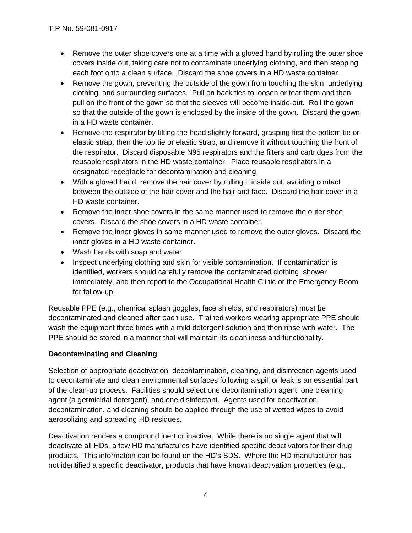- Remove the outer shoe covers one at a time with a gloved hand by rolling the outer shoe covers inside out, taking care not to contaminate underlying clothing, and then stepping each foot onto a clean surface. Discard the shoe covers in a HD waste container.
- Remove the gown, preventing the outside of the gown from touching the skin, underlying clothing, and surrounding surfaces. Pull on back ties to loosen or tear them and then pull on the front of the gown so that the sleeves will become inside-out. Roll the gown so that the outside of the gown is enclosed by the inside of the gown. Discard the gown in a HD waste container.
- Remove the respirator by tilting the head slightly forward, grasping first the bottom tie or elastic strap, then the top tie or elastic strap, and remove it without touching the front of the respirator. Discard disposable N95 respirators and the filters and cartridges from the reusable respirators in the HD waste container. Place reusable respirators in a designated receptacle for decontamination and cleaning.
- With a gloved hand, remove the hair cover by rolling it inside out, avoiding contact between the outside of the hair cover and the hair and face. Discard the hair cover in a HD waste container.
- Remove the inner shoe covers in the same manner used to remove the outer shoe covers. Discard the shoe covers in a HD waste container.
- Remove the inner gloves in same manner used to remove the outer gloves. Discard the inner gloves in a HD waste container.
- Wash hands with soap and water
- Inspect underlying clothing and skin for visible contamination. If contamination is identified, workers should carefully remove the contaminated clothing, shower immediately, and then report to the Occupational Health Clinic or the Emergency Room for follow-up.

Reusable PPE (e.g., chemical splash goggles, face shields, and respirators) must be decontaminated and cleaned after each use. Trained workers wearing appropriate PPE should wash the equipment three times with a mild detergent solution and then rinse with water. The PPE should be stored in a manner that will maintain its cleanliness and functionality.

# **Decontaminating and Cleaning**

Selection of appropriate deactivation, decontamination, cleaning, and disinfection agents used to decontaminate and clean environmental surfaces following a spill or leak is an essential part of the clean-up process. Facilities should select one decontamination agent, one cleaning agent (a germicidal detergent), and one disinfectant. Agents used for deactivation, decontamination, and cleaning should be applied through the use of wetted wipes to avoid aerosolizing and spreading HD residues.

Deactivation renders a compound inert or inactive. While there is no single agent that will deactivate all HDs, a few HD manufactures have identified specific deactivators for their drug products. This information can be found on the HD's SDS. Where the HD manufacturer has not identified a specific deactivator, products that have known deactivation properties (e.g.,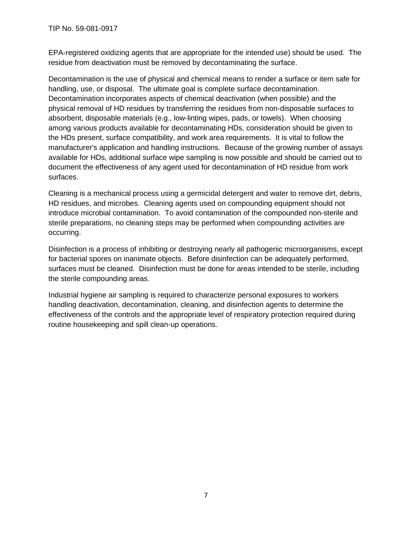EPA-registered oxidizing agents that are appropriate for the intended use) should be used. The residue from deactivation must be removed by decontaminating the surface.

Decontamination is the use of physical and chemical means to render a surface or item safe for handling, use, or disposal. The ultimate goal is complete surface decontamination. Decontamination incorporates aspects of chemical deactivation (when possible) and the physical removal of HD residues by transferring the residues from non-disposable surfaces to absorbent, disposable materials (e.g., low-linting wipes, pads, or towels). When choosing among various products available for decontaminating HDs, consideration should be given to the HDs present, surface compatibility, and work area requirements. It is vital to follow the manufacturer's application and handling instructions. Because of the growing number of assays available for HDs, additional surface wipe sampling is now possible and should be carried out to document the effectiveness of any agent used for decontamination of HD residue from work surfaces.

Cleaning is a mechanical process using a germicidal detergent and water to remove dirt, debris, HD residues, and microbes. Cleaning agents used on compounding equipment should not introduce microbial contamination. To avoid contamination of the compounded non-sterile and sterile preparations, no cleaning steps may be performed when compounding activities are occurring.

Disinfection is a process of inhibiting or destroying nearly all pathogenic microorganisms, except for bacterial spores on inanimate objects. Before disinfection can be adequately performed, surfaces must be cleaned. Disinfection must be done for areas intended to be sterile, including the sterile compounding areas.

Industrial hygiene air sampling is required to characterize personal exposures to workers handling deactivation, decontamination, cleaning, and disinfection agents to determine the effectiveness of the controls and the appropriate level of respiratory protection required during routine housekeeping and spill clean-up operations.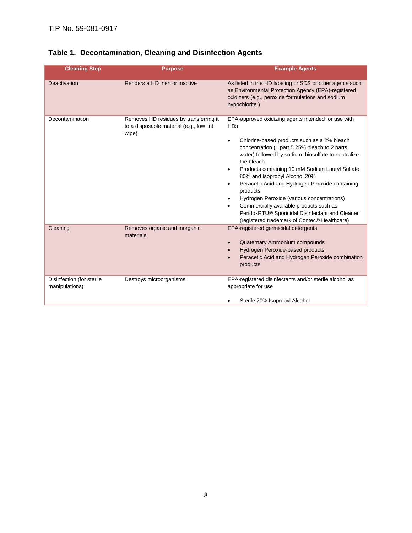| <b>Cleaning Step</b>                        | <b>Purpose</b>                                                                              | <b>Example Agents</b>                                                                                                                                                                                                                                                                                                                                                                                                                                                                                                                                                                      |
|---------------------------------------------|---------------------------------------------------------------------------------------------|--------------------------------------------------------------------------------------------------------------------------------------------------------------------------------------------------------------------------------------------------------------------------------------------------------------------------------------------------------------------------------------------------------------------------------------------------------------------------------------------------------------------------------------------------------------------------------------------|
| Deactivation                                | Renders a HD inert or inactive                                                              | As listed in the HD labeling or SDS or other agents such<br>as Environmental Protection Agency (EPA)-registered<br>oxidizers (e.g., peroxide formulations and sodium<br>hypochlorite.)                                                                                                                                                                                                                                                                                                                                                                                                     |
| Decontamination                             | Removes HD residues by transferring it<br>to a disposable material (e.g., low lint<br>wipe) | EPA-approved oxidizing agents intended for use with<br><b>HDs</b><br>Chlorine-based products such as a 2% bleach<br>concentration (1 part 5.25% bleach to 2 parts<br>water) followed by sodium thiosulfate to neutralize<br>the bleach<br>Products containing 10 mM Sodium Lauryl Sulfate<br>80% and Isopropyl Alcohol 20%<br>Peracetic Acid and Hydrogen Peroxide containing<br>٠<br>products<br>Hydrogen Peroxide (various concentrations)<br>Commercially available products such as<br>PeridoxRTU® Sporicidal Disinfectant and Cleaner<br>(registered trademark of Contec® Healthcare) |
| Cleaning                                    | Removes organic and inorganic<br>materials                                                  | EPA-registered germicidal detergents<br>Quaternary Ammonium compounds<br>Hydrogen Peroxide-based products<br>Peracetic Acid and Hydrogen Peroxide combination<br>products                                                                                                                                                                                                                                                                                                                                                                                                                  |
| Disinfection (for sterile<br>manipulations) | Destroys microorganisms                                                                     | EPA-registered disinfectants and/or sterile alcohol as<br>appropriate for use<br>Sterile 70% Isopropyl Alcohol                                                                                                                                                                                                                                                                                                                                                                                                                                                                             |

# **Table 1. Decontamination, Cleaning and Disinfection Agents**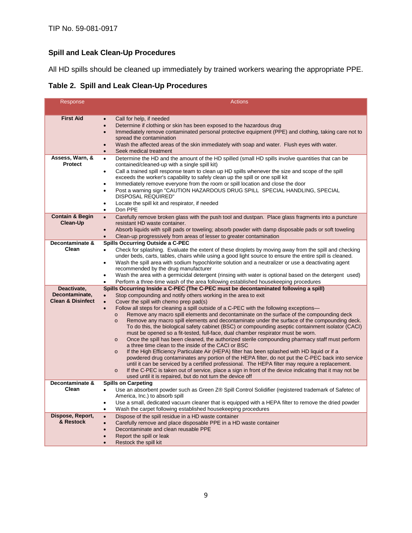# **Spill and Leak Clean-Up Procedures**

All HD spills should be cleaned up immediately by trained workers wearing the appropriate PPE.

**Table 2. Spill and Leak Clean-Up Procedures**

| Response                                                          | <b>Actions</b>                                                                                                                                                                                                                                                                                                                                                                                                                                                                                                                                                                                                                                                                                                                                                                                                                                                                                                                                                                                                                                                                                                                                                                                                                                                                                                          |
|-------------------------------------------------------------------|-------------------------------------------------------------------------------------------------------------------------------------------------------------------------------------------------------------------------------------------------------------------------------------------------------------------------------------------------------------------------------------------------------------------------------------------------------------------------------------------------------------------------------------------------------------------------------------------------------------------------------------------------------------------------------------------------------------------------------------------------------------------------------------------------------------------------------------------------------------------------------------------------------------------------------------------------------------------------------------------------------------------------------------------------------------------------------------------------------------------------------------------------------------------------------------------------------------------------------------------------------------------------------------------------------------------------|
|                                                                   |                                                                                                                                                                                                                                                                                                                                                                                                                                                                                                                                                                                                                                                                                                                                                                                                                                                                                                                                                                                                                                                                                                                                                                                                                                                                                                                         |
| <b>First Aid</b>                                                  | Call for help, if needed<br>$\bullet$<br>Determine if clothing or skin has been exposed to the hazardous drug<br>$\bullet$<br>Immediately remove contaminated personal protective equipment (PPE) and clothing, taking care not to<br>$\bullet$<br>spread the contamination<br>Wash the affected areas of the skin immediately with soap and water. Flush eyes with water.<br>$\bullet$<br>Seek medical treatment<br>$\bullet$                                                                                                                                                                                                                                                                                                                                                                                                                                                                                                                                                                                                                                                                                                                                                                                                                                                                                          |
| Assess, Warn, &<br><b>Protect</b>                                 | Determine the HD and the amount of the HD spilled (small HD spills involve quantities that can be<br>$\bullet$<br>contained/cleaned-up with a single spill kit)<br>Call a trained spill response team to clean up HD spills whenever the size and scope of the spill<br>$\bullet$<br>exceeds the worker's capability to safely clean up the spill or one spill kit<br>Immediately remove everyone from the room or spill location and close the door<br>$\bullet$<br>Post a warning sign "CAUTION HAZARDOUS DRUG SPILL SPECIAL HANDLING, SPECIAL<br>$\bullet$<br><b>DISPOSAL REQUIRED"</b><br>Locate the spill kit and respirator, if needed<br>$\bullet$<br>Don PPE<br>$\bullet$                                                                                                                                                                                                                                                                                                                                                                                                                                                                                                                                                                                                                                       |
| <b>Contain &amp; Begin</b><br>Clean-Up                            | Carefully remove broken glass with the push tool and dustpan. Place glass fragments into a puncture<br>$\bullet$<br>resistant HD waste container.<br>Absorb liquids with spill pads or toweling; absorb powder with damp disposable pads or soft toweling<br>$\bullet$<br>Clean-up progressively from areas of lesser to greater contamination<br>$\bullet$                                                                                                                                                                                                                                                                                                                                                                                                                                                                                                                                                                                                                                                                                                                                                                                                                                                                                                                                                             |
| Decontaminate &<br>Clean                                          | Spills Occurring Outside a C-PEC<br>Check for splashing. Evaluate the extent of these droplets by moving away from the spill and checking<br>$\bullet$<br>under beds, carts, tables, chairs while using a good light source to ensure the entire spill is cleaned.<br>Wash the spill area with sodium hypochlorite solution and a neutralizer or use a deactivating agent<br>$\bullet$<br>recommended by the drug manufacturer<br>Wash the area with a germicidal detergent (rinsing with water is optional based on the detergent used)<br>$\bullet$<br>Perform a three-time wash of the area following established housekeeping procedures<br>$\bullet$                                                                                                                                                                                                                                                                                                                                                                                                                                                                                                                                                                                                                                                               |
| Deactivate.                                                       | Spills Occurring Inside a C-PEC (The C-PEC must be decontaminated following a spill)                                                                                                                                                                                                                                                                                                                                                                                                                                                                                                                                                                                                                                                                                                                                                                                                                                                                                                                                                                                                                                                                                                                                                                                                                                    |
| Decontaminate,<br><b>Clean &amp; Disinfect</b><br>Decontaminate & | Stop compounding and notify others working in the area to exit<br>Cover the spill with chemo prep pad(s)<br>$\bullet$<br>Follow all steps for cleaning a spill outside of a C-PEC with the following exceptions—<br>$\bullet$<br>Remove any macro spill elements and decontaminate on the surface of the compounding deck<br>$\circ$<br>Remove any macro spill elements and decontaminate under the surface of the compounding deck.<br>$\circ$<br>To do this, the biological safety cabinet (BSC) or compounding aseptic containment isolator (CACI)<br>must be opened so a fit-tested, full-face, dual chamber respirator must be worn.<br>Once the spill has been cleaned, the authorized sterile compounding pharmacy staff must perform<br>$\Omega$<br>a three time clean to the inside of the CACI or BSC<br>If the High Efficiency Particulate Air (HEPA) filter has been splashed with HD liquid or if a<br>$\circ$<br>powdered drug contaminates any portion of the HEPA filter, do not put the C-PEC back into service<br>until it can be serviced by a certified professional. The HEPA filter may require a replacement.<br>If the C-PEC is taken out of service, place a sign in front of the device indicating that it may not be<br>$\circ$<br>used until it is repaired, but do not turn the device off |
| Clean                                                             | <b>Spills on Carpeting</b><br>Use an absorbent powder such as Green Z® Spill Control Solidifier (registered trademark of Safetec of<br>$\bullet$<br>America, Inc.) to absorb spill<br>Use a small, dedicated vacuum cleaner that is equipped with a HEPA filter to remove the dried powder<br>$\bullet$                                                                                                                                                                                                                                                                                                                                                                                                                                                                                                                                                                                                                                                                                                                                                                                                                                                                                                                                                                                                                 |
| Dispose, Report,<br>& Restock                                     | Wash the carpet following established housekeeping procedures<br>$\bullet$<br>Dispose of the spill residue in a HD waste container<br>$\bullet$<br>Carefully remove and place disposable PPE in a HD waste container<br>$\bullet$<br>Decontaminate and clean reusable PPE<br>$\bullet$<br>Report the spill or leak<br>$\bullet$<br>Restock the spill kit<br>$\bullet$                                                                                                                                                                                                                                                                                                                                                                                                                                                                                                                                                                                                                                                                                                                                                                                                                                                                                                                                                   |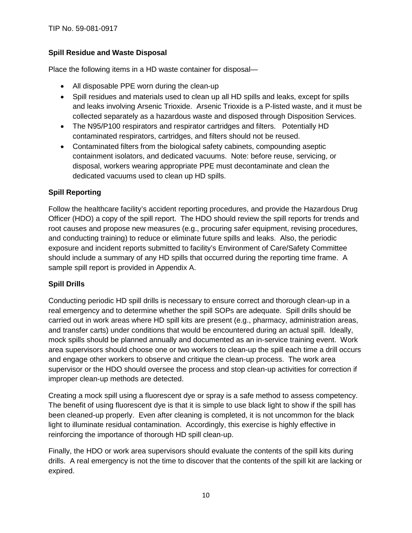TIP No. 59-081-0917

### **Spill Residue and Waste Disposal**

Place the following items in a HD waste container for disposal—

- All disposable PPE worn during the clean-up
- Spill residues and materials used to clean up all HD spills and leaks, except for spills and leaks involving Arsenic Trioxide. Arsenic Trioxide is a P-listed waste, and it must be collected separately as a hazardous waste and disposed through Disposition Services.
- The N95/P100 respirators and respirator cartridges and filters. Potentially HD contaminated respirators, cartridges, and filters should not be reused.
- Contaminated filters from the biological safety cabinets, compounding aseptic containment isolators, and dedicated vacuums. Note: before reuse, servicing, or disposal, workers wearing appropriate PPE must decontaminate and clean the dedicated vacuums used to clean up HD spills.

### **Spill Reporting**

Follow the healthcare facility's accident reporting procedures, and provide the Hazardous Drug Officer (HDO) a copy of the spill report. The HDO should review the spill reports for trends and root causes and propose new measures (e.g., procuring safer equipment, revising procedures, and conducting training) to reduce or eliminate future spills and leaks. Also, the periodic exposure and incident reports submitted to facility's Environment of Care/Safety Committee should include a summary of any HD spills that occurred during the reporting time frame. A sample spill report is provided in Appendix A.

### **Spill Drills**

Conducting periodic HD spill drills is necessary to ensure correct and thorough clean-up in a real emergency and to determine whether the spill SOPs are adequate. Spill drills should be carried out in work areas where HD spill kits are present (e.g., pharmacy, administration areas, and transfer carts) under conditions that would be encountered during an actual spill. Ideally, mock spills should be planned annually and documented as an in-service training event. Work area supervisors should choose one or two workers to clean-up the spill each time a drill occurs and engage other workers to observe and critique the clean-up process. The work area supervisor or the HDO should oversee the process and stop clean-up activities for correction if improper clean-up methods are detected.

Creating a mock spill using a fluorescent dye or spray is a safe method to assess competency. The benefit of using fluorescent dye is that it is simple to use black light to show if the spill has been cleaned-up properly. Even after cleaning is completed, it is not uncommon for the black light to illuminate residual contamination. Accordingly, this exercise is highly effective in reinforcing the importance of thorough HD spill clean-up.

Finally, the HDO or work area supervisors should evaluate the contents of the spill kits during drills. A real emergency is not the time to discover that the contents of the spill kit are lacking or expired.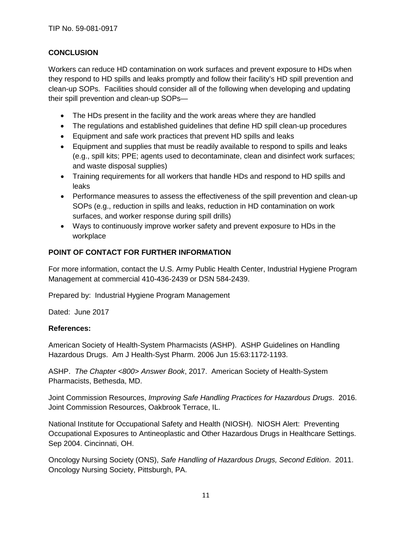## **CONCLUSION**

Workers can reduce HD contamination on work surfaces and prevent exposure to HDs when they respond to HD spills and leaks promptly and follow their facility's HD spill prevention and clean-up SOPs. Facilities should consider all of the following when developing and updating their spill prevention and clean-up SOPs—

- The HDs present in the facility and the work areas where they are handled
- The regulations and established guidelines that define HD spill clean-up procedures
- Equipment and safe work practices that prevent HD spills and leaks
- Equipment and supplies that must be readily available to respond to spills and leaks (e.g., spill kits; PPE; agents used to decontaminate, clean and disinfect work surfaces; and waste disposal supplies)
- Training requirements for all workers that handle HDs and respond to HD spills and leaks
- Performance measures to assess the effectiveness of the spill prevention and clean-up SOPs (e.g., reduction in spills and leaks, reduction in HD contamination on work surfaces, and worker response during spill drills)
- Ways to continuously improve worker safety and prevent exposure to HDs in the workplace

# **POINT OF CONTACT FOR FURTHER INFORMATION**

For more information, contact the U.S. Army Public Health Center, Industrial Hygiene Program Management at commercial 410-436-2439 or DSN 584-2439.

Prepared by: Industrial Hygiene Program Management

Dated: June 2017

### **References:**

American Society of Health-System Pharmacists (ASHP). ASHP Guidelines on Handling Hazardous Drugs. Am J Health-Syst Pharm. 2006 Jun 15:63:1172-1193.

ASHP. *The Chapter <800> Answer Book*, 2017. American Society of Health-System Pharmacists, Bethesda, MD.

Joint Commission Resources, *Improving Safe Handling Practices for Hazardous Drugs*. 2016. Joint Commission Resources, Oakbrook Terrace, IL.

National Institute for Occupational Safety and Health (NIOSH). NIOSH Alert: Preventing Occupational Exposures to Antineoplastic and Other Hazardous Drugs in Healthcare Settings. Sep 2004. Cincinnati, OH.

Oncology Nursing Society (ONS), *Safe Handling of Hazardous Drugs, Second Edition*. 2011. Oncology Nursing Society, Pittsburgh, PA.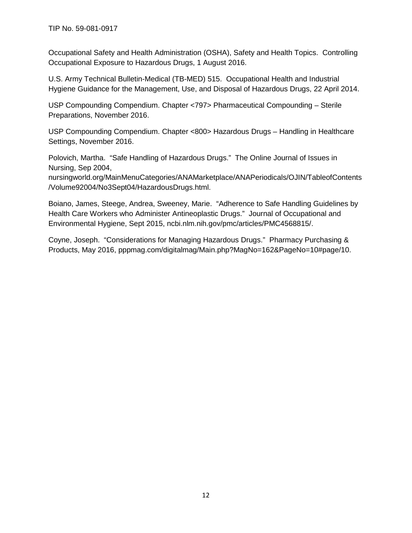Occupational Safety and Health Administration (OSHA), Safety and Health Topics. Controlling Occupational Exposure to Hazardous Drugs, 1 August 2016.

U.S. Army Technical Bulletin-Medical (TB-MED) 515. Occupational Health and Industrial Hygiene Guidance for the Management, Use, and Disposal of Hazardous Drugs, 22 April 2014.

USP Compounding Compendium. Chapter <797> Pharmaceutical Compounding – Sterile Preparations, November 2016.

USP Compounding Compendium. Chapter <800> Hazardous Drugs – Handling in Healthcare Settings, November 2016.

Polovich, Martha. "Safe Handling of Hazardous Drugs." The Online Journal of Issues in Nursing, Sep 2004,

nursingworld.org/MainMenuCategories/ANAMarketplace/ANAPeriodicals/OJIN/TableofContents /Volume92004/No3Sept04/HazardousDrugs.html.

Boiano, James, Steege, Andrea, Sweeney, Marie. "Adherence to Safe Handling Guidelines by Health Care Workers who Administer Antineoplastic Drugs." Journal of Occupational and Environmental Hygiene, Sept 2015, ncbi.nlm.nih.gov/pmc/articles/PMC4568815/.

Coyne, Joseph. "Considerations for Managing Hazardous Drugs." Pharmacy Purchasing & Products, May 2016, pppmag.com/digitalmag/Main.php?MagNo=162&PageNo=10#page/10.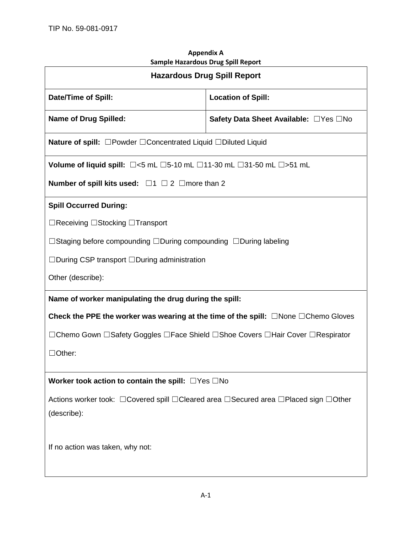| Sample Hazardous Drug Spill Report                                                                |                                       |  |  |  |
|---------------------------------------------------------------------------------------------------|---------------------------------------|--|--|--|
| <b>Hazardous Drug Spill Report</b>                                                                |                                       |  |  |  |
| <b>Date/Time of Spill:</b>                                                                        | <b>Location of Spill:</b>             |  |  |  |
| <b>Name of Drug Spilled:</b>                                                                      | Safety Data Sheet Available: □Yes □No |  |  |  |
| Nature of spill: □Powder □Concentrated Liquid □Diluted Liquid                                     |                                       |  |  |  |
| Volume of liquid spill: $\Box$ <5 mL $\Box$ 5-10 mL $\Box$ 11-30 mL $\Box$ 31-50 mL $\Box$ >51 mL |                                       |  |  |  |
| Number of spill kits used: $\Box$ 1 $\Box$ 2 $\Box$ more than 2                                   |                                       |  |  |  |
| <b>Spill Occurred During:</b>                                                                     |                                       |  |  |  |
| □Receiving □Stocking □Transport                                                                   |                                       |  |  |  |
| $\Box$ Staging before compounding $\Box$ During compounding $\Box$ During labeling                |                                       |  |  |  |
| $\Box$ During CSP transport $\Box$ During administration                                          |                                       |  |  |  |
| Other (describe):                                                                                 |                                       |  |  |  |
| Name of worker manipulating the drug during the spill:                                            |                                       |  |  |  |
| Check the PPE the worker was wearing at the time of the spill: $\Box$ None $\Box$ Chemo Gloves    |                                       |  |  |  |
| □Chemo Gown □Safety Goggles □Face Shield □Shoe Covers □Hair Cover □Respirator                     |                                       |  |  |  |
| $\Box$ Other:                                                                                     |                                       |  |  |  |
| Worker took action to contain the spill: $\Box$ Yes $\Box$ No                                     |                                       |  |  |  |
| Actions worker took: □ Covered spill □ Cleared area □ Secured area □ Placed sign □ Other          |                                       |  |  |  |
| (describe):                                                                                       |                                       |  |  |  |
| If no action was taken, why not:                                                                  |                                       |  |  |  |

# **Appendix A Sample Hazardous Drug Spill Report**